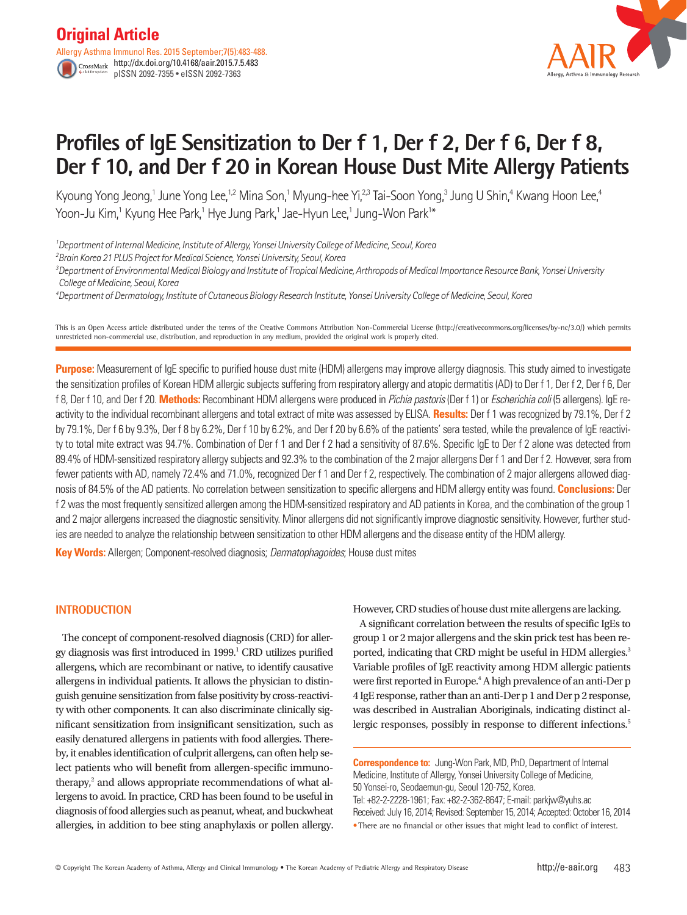http://dx.doi.org/10.4168/aair.2015.7.5.483 pISSN 2092-7355 • eISSN 2092-7363



# **Profiles of IgE Sensitization to Der f 1, Der f 2, Der f 6, Der f 8, Der f 10, and Der f 20 in Korean House Dust Mite Allergy Patients**

Kyoung Yong Jeong,1 June Yong Lee,1,2 Mina Son,1 Myung-hee Yi,<sup>2,3</sup> Tai-Soon Yong,3 Jung U Shin,4 Kwang Hoon Lee,4 Yoon-Ju Kim,' Kyung Hee Park,' Hye Jung Park,' Jae-Hyun Lee,' Jung-Won Park'\*

*1 Department of Internal Medicine, Institute of Allergy, Yonsei University College of Medicine, Seoul, Korea*

*2 Brain Korea 21 PLUS Project for Medical Science, Yonsei University, Seoul, Korea*

*3 Department of Environmental Medical Biology and Institute of Tropical Medicine, Arthropods of Medical Importance Resource Bank, Yonsei University College of Medicine, Seoul, Korea*

*4 Department of Dermatology, Institute of Cutaneous Biology Research Institute, Yonsei University College of Medicine, Seoul, Korea*

This is an Open Access article distributed under the terms of the Creative Commons Attribution Non-Commercial License (http://creativecommons.org/licenses/by-nc/3.0/) which permits unrestricted non-commercial use, distribution, and reproduction in any medium, provided the original work is properly cited.

**Purpose:** Measurement of IgE specific to purified house dust mite (HDM) allergens may improve allergy diagnosis. This study aimed to investigate the sensitization profiles of Korean HDM allergic subjects suffering from respiratory allergy and atopic dermatitis (AD) to Der f 1, Der f 2, Der f 6, Der f 8, Der f 10, and Der f 20. **Methods:** Recombinant HDM allergens were produced in *Pichia pastoris* (Der f 1) or *Escherichia coli* (5 allergens). IgE reactivity to the individual recombinant allergens and total extract of mite was assessed by ELISA. **Results:** Der f 1 was recognized by 79.1%, Der f 2 by 79.1%, Der f 6 by 9.3%, Der f 8 by 6.2%, Der f 10 by 6.2%, and Der f 20 by 6.6% of the patients' sera tested, while the prevalence of IgE reactivity to total mite extract was 94.7%. Combination of Der f 1 and Der f 2 had a sensitivity of 87.6%. Specific IgE to Der f 2 alone was detected from 89.4% of HDM-sensitized respiratory allergy subjects and 92.3% to the combination of the 2 major allergens Der f 1 and Der f 2. However, sera from fewer patients with AD, namely 72.4% and 71.0%, recognized Der f 1 and Der f 2, respectively. The combination of 2 major allergens allowed diagnosis of 84.5% of the AD patients. No correlation between sensitization to specific allergens and HDM allergy entity was found. **Conclusions:** Der f 2 was the most frequently sensitized allergen among the HDM-sensitized respiratory and AD patients in Korea, and the combination of the group 1 and 2 major allergens increased the diagnostic sensitivity. Minor allergens did not significantly improve diagnostic sensitivity. However, further studies are needed to analyze the relationship between sensitization to other HDM allergens and the disease entity of the HDM allergy.

**Key Words:** Allergen; Component-resolved diagnosis; *Dermatophagoides*; House dust mites

# **INTRODUCTION**

The concept of component-resolved diagnosis (CRD) for allergy diagnosis was first introduced in 1999.<sup>1</sup> CRD utilizes purified allergens, which are recombinant or native, to identify causative allergens in individual patients. It allows the physician to distinguish genuine sensitization from false positivity by cross-reactivity with other components. It can also discriminate clinically significant sensitization from insignificant sensitization, such as easily denatured allergens in patients with food allergies. Thereby, it enables identification of culprit allergens, can often help select patients who will benefit from allergen-specific immunotherapy, $2$  and allows appropriate recommendations of what allergens to avoid. In practice, CRD has been found to be useful in diagnosis of food allergies such as peanut, wheat, and buckwheat allergies, in addition to bee sting anaphylaxis or pollen allergy.

However, CRD studies of house dust mite allergens are lacking.

A significant correlation between the results of specific IgEs to group 1 or 2 major allergens and the skin prick test has been reported, indicating that CRD might be useful in HDM allergies.<sup>3</sup> Variable profiles of IgE reactivity among HDM allergic patients were first reported in Europe.<sup>4</sup> A high prevalence of an anti-Der p 4 IgE response, rather than an anti-Der p 1 and Der p 2 response, was described in Australian Aboriginals, indicating distinct allergic responses, possibly in response to different infections.<sup>5</sup>

**Correspondence to:** Jung-Won Park, MD, PhD, Department of Internal Medicine, Institute of Allergy, Yonsei University College of Medicine, 50 Yonsei-ro, Seodaemun-gu, Seoul 120-752, Korea. Tel: +82-2-2228-1961; Fax: +82-2-362-8647; E-mail: parkjw@yuhs.ac Received: July 16, 2014; Revised: September 15, 2014; Accepted: October 16, 2014 •There are no financial or other issues that might lead to conflict of interest.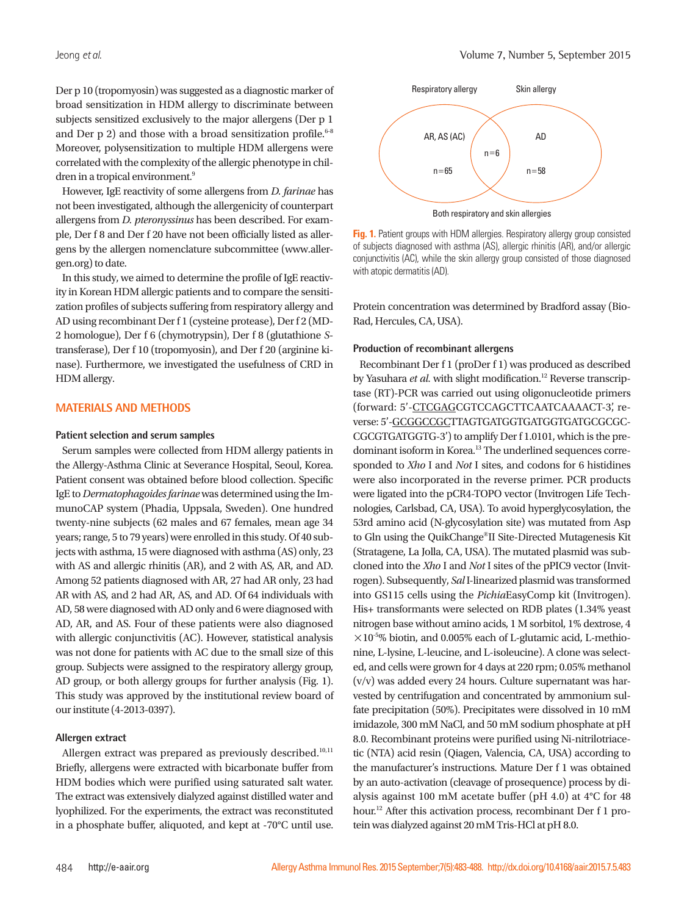Volume 7, Number 5, September 2015

Der p 10 (tropomyosin) was suggested as a diagnostic marker of broad sensitization in HDM allergy to discriminate between subjects sensitized exclusively to the major allergens (Der p 1 and Der p 2) and those with a broad sensitization profile.<sup>6-8</sup> Moreover, polysensitization to multiple HDM allergens were correlated with the complexity of the allergic phenotype in children in a tropical environment.<sup>9</sup>

However, IgE reactivity of some allergens from *D. farinae* has not been investigated, although the allergenicity of counterpart allergens from *D. pteronyssinus* has been described. For example, Der f 8 and Der f 20 have not been officially listed as allergens by the allergen nomenclature subcommittee (www.allergen.org) to date.

In this study, we aimed to determine the profile of IgE reactivity in Korean HDM allergic patients and to compare the sensitization profiles of subjects suffering from respiratory allergy and AD using recombinant Der f 1 (cysteine protease), Der f 2 (MD-2 homologue), Der f 6 (chymotrypsin), Der f 8 (glutathione *S*transferase), Der f 10 (tropomyosin), and Der f 20 (arginine kinase). Furthermore, we investigated the usefulness of CRD in HDM allergy.

## **MATERIALS AND METHODS**

#### **Patient selection and serum samples**

Serum samples were collected from HDM allergy patients in the Allergy-Asthma Clinic at Severance Hospital, Seoul, Korea. Patient consent was obtained before blood collection. Specific IgE to *Dermatophagoides farinae* was determined using the ImmunoCAP system (Phadia, Uppsala, Sweden). One hundred twenty-nine subjects (62 males and 67 females, mean age 34 years; range, 5 to 79 years) were enrolled in this study. Of 40 subjects with asthma, 15 were diagnosed with asthma (AS) only, 23 with AS and allergic rhinitis (AR), and 2 with AS, AR, and AD. Among 52 patients diagnosed with AR, 27 had AR only, 23 had AR with AS, and 2 had AR, AS, and AD. Of 64 individuals with AD, 58 were diagnosed with AD only and 6 were diagnosed with AD, AR, and AS. Four of these patients were also diagnosed with allergic conjunctivitis (AC). However, statistical analysis was not done for patients with AC due to the small size of this group. Subjects were assigned to the respiratory allergy group, AD group, or both allergy groups for further analysis (Fig. 1). This study was approved by the institutional review board of our institute (4-2013-0397).

## **Allergen extract**

Allergen extract was prepared as previously described.<sup>10,11</sup> Briefly, allergens were extracted with bicarbonate buffer from HDM bodies which were purified using saturated salt water. The extract was extensively dialyzed against distilled water and lyophilized. For the experiments, the extract was reconstituted in a phosphate buffer, aliquoted, and kept at -70°C until use.



**Fig. 1.** Patient groups with HDM allergies. Respiratory allergy group consisted of subjects diagnosed with asthma (AS), allergic rhinitis (AR), and/or allergic conjunctivitis (AC), while the skin allergy group consisted of those diagnosed with atopic dermatitis (AD).

Protein concentration was determined by Bradford assay (Bio-Rad, Hercules, CA, USA).

#### **Production of recombinant allergens**

Recombinant Der f 1 (proDer f 1) was produced as described by Yasuhara *et al.* with slight modification.<sup>12</sup> Reverse transcriptase (RT)-PCR was carried out using oligonucleotide primers (forward: 5'-CTCGAGCGTCCAGCTTCAATCAAAACT-3', reverse: 5'-GCGGCCGCTTAGTGATGGTGATGGTGATGCGCGC-CGCGTGATGGTG-3') to amplify Der f 1.0101, which is the predominant isoform in Korea.13 The underlined sequences corresponded to *Xho* I and *Not* I sites, and codons for 6 histidines were also incorporated in the reverse primer. PCR products were ligated into the pCR4-TOPO vector (Invitrogen Life Technologies, Carlsbad, CA, USA). To avoid hyperglycosylation, the 53rd amino acid (N-glycosylation site) was mutated from Asp to Gln using the QuikChange®II Site-Directed Mutagenesis Kit (Stratagene, La Jolla, CA, USA). The mutated plasmid was subcloned into the *Xho* I and *Not* I sites of the pPIC9 vector (Invitrogen). Subsequently, *Sal* I-linearized plasmid was transformed into GS115 cells using the *Pichia*EasyComp kit (Invitrogen). His+ transformants were selected on RDB plates (1.34% yeast nitrogen base without amino acids, 1 M sorbitol, 1% dextrose, 4  $\times$ 10<sup>-5</sup>% biotin, and 0.005% each of L-glutamic acid, L-methionine, L-lysine, L-leucine, and L-isoleucine). A clone was selected, and cells were grown for 4 days at 220 rpm; 0.05% methanol (v/v) was added every 24 hours. Culture supernatant was harvested by centrifugation and concentrated by ammonium sulfate precipitation (50%). Precipitates were dissolved in 10 mM imidazole, 300 mM NaCl, and 50 mM sodium phosphate at pH 8.0. Recombinant proteins were purified using Ni-nitrilotriacetic (NTA) acid resin (Qiagen, Valencia, CA, USA) according to the manufacturer's instructions. Mature Der f 1 was obtained by an auto-activation (cleavage of prosequence) process by dialysis against 100 mM acetate buffer (pH 4.0) at 4°C for 48 hour.12 After this activation process, recombinant Der f 1 protein was dialyzed against 20 mM Tris-HCl at pH 8.0.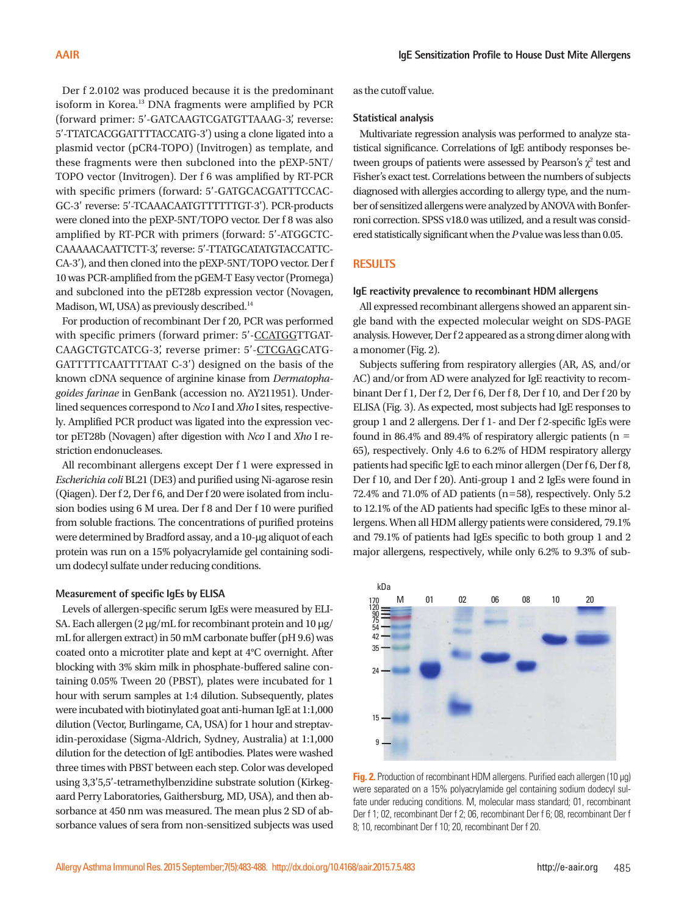Der f 2.0102 was produced because it is the predominant isoform in Korea.13 DNA fragments were amplified by PCR (forward primer: 5'-GATCAAGTCGATGTTAAAG-3', reverse: 5'-TTATCACGGATTTTACCATG-3') using a clone ligated into a plasmid vector (pCR4-TOPO) (Invitrogen) as template, and these fragments were then subcloned into the pEXP-5NT/ TOPO vector (Invitrogen). Der f 6 was amplified by RT-PCR with specific primers (forward: 5'-GATGCACGATTTCCAC-GC-3' reverse: 5'-TCAAACAATGTTTTTTGT-3'). PCR-products were cloned into the pEXP-5NT/TOPO vector. Der f 8 was also amplified by RT-PCR with primers (forward: 5'-ATGGCTC-CAAAAACAATTCTT-3', reverse: 5'-TTATGCATATGTACCATTC-CA-3'), and then cloned into the pEXP-5NT/TOPO vector. Der f 10 was PCR-amplified from the pGEM-T Easy vector (Promega) and subcloned into the pET28b expression vector (Novagen, Madison, WI, USA) as previously described.<sup>14</sup>

For production of recombinant Der f 20, PCR was performed with specific primers (forward primer: 5'-CCATGGTTGAT-CAAGCTGTCATCG-3', reverse primer: 5'-CTCGAGCATG-GATTTTTCAATTTTAAT C-3') designed on the basis of the known cDNA sequence of arginine kinase from *Dermatophagoides farinae* in GenBank (accession no. AY211951). Underlined sequences correspond to *Nco* I and *Xho* I sites, respectively. Amplified PCR product was ligated into the expression vector pET28b (Novagen) after digestion with *Nco* I and *Xho* I restriction endonucleases.

All recombinant allergens except Der f 1 were expressed in *Escherichia coli* BL21 (DE3) and purified using Ni-agarose resin (Qiagen). Der f 2, Der f 6, and Der f 20 were isolated from inclusion bodies using 6 M urea. Der f 8 and Der f 10 were purified from soluble fractions. The concentrations of purified proteins were determined by Bradford assay, and a 10-μg aliquot of each protein was run on a 15% polyacrylamide gel containing sodium dodecyl sulfate under reducing conditions.

#### **Measurement of specific IgEs by ELISA**

Levels of allergen-specific serum IgEs were measured by ELI-SA. Each allergen (2 μg/mL for recombinant protein and 10 μg/ mL for allergen extract) in 50 mM carbonate buffer (pH 9.6) was coated onto a microtiter plate and kept at 4°C overnight. After blocking with 3% skim milk in phosphate-buffered saline containing 0.05% Tween 20 (PBST), plates were incubated for 1 hour with serum samples at 1:4 dilution. Subsequently, plates were incubated with biotinylated goat anti-human IgE at 1:1,000 dilution (Vector, Burlingame, CA, USA) for 1 hour and streptavidin-peroxidase (Sigma-Aldrich, Sydney, Australia) at 1:1,000 dilution for the detection of IgE antibodies. Plates were washed three times with PBST between each step. Color was developed using 3,3'5,5'-tetramethylbenzidine substrate solution (Kirkegaard Perry Laboratories, Gaithersburg, MD, USA), and then absorbance at 450 nm was measured. The mean plus 2 SD of absorbance values of sera from non-sensitized subjects was used as the cutoff value.

#### **Statistical analysis**

Multivariate regression analysis was performed to analyze statistical significance. Correlations of IgE antibody responses between groups of patients were assessed by Pearson's  $\chi^2$  test and Fisher's exact test. Correlations between the numbers of subjects diagnosed with allergies according to allergy type, and the number of sensitized allergens were analyzed by ANOVA with Bonferroni correction. SPSS v18.0 was utilized, and a result was considered statistically significant when the *P* value was less than 0.05.

### **RESULTS**

#### **IgE reactivity prevalence to recombinant HDM allergens**

All expressed recombinant allergens showed an apparent single band with the expected molecular weight on SDS-PAGE analysis. However, Der f 2 appeared as a strong dimer along with a monomer (Fig. 2).

Subjects suffering from respiratory allergies (AR, AS, and/or AC) and/or from AD were analyzed for IgE reactivity to recombinant Der f 1, Der f 2, Der f 6, Der f 8, Der f 10, and Der f 20 by ELISA (Fig. 3). As expected, most subjects had IgE responses to group 1 and 2 allergens. Der f 1- and Der f 2-specific IgEs were found in 86.4% and 89.4% of respiratory allergic patients ( $n =$ 65), respectively. Only 4.6 to 6.2% of HDM respiratory allergy patients had specific IgE to each minor allergen (Der f 6, Der f 8, Der f 10, and Der f 20). Anti-group 1 and 2 IgEs were found in 72.4% and 71.0% of AD patients (n=58), respectively. Only 5.2 to 12.1% of the AD patients had specific IgEs to these minor allergens. When all HDM allergy patients were considered, 79.1% and 79.1% of patients had IgEs specific to both group 1 and 2 major allergens, respectively, while only 6.2% to 9.3% of sub-



**Fig. 2.** Production of recombinant HDM allergens. Purified each allergen (10 μg) were separated on a 15% polyacrylamide gel containing sodium dodecyl sulfate under reducing conditions. M, molecular mass standard; 01, recombinant Der f 1; 02, recombinant Der f 2; 06, recombinant Der f 6; 08, recombinant Der f 8; 10, recombinant Der f 10; 20, recombinant Der f 20.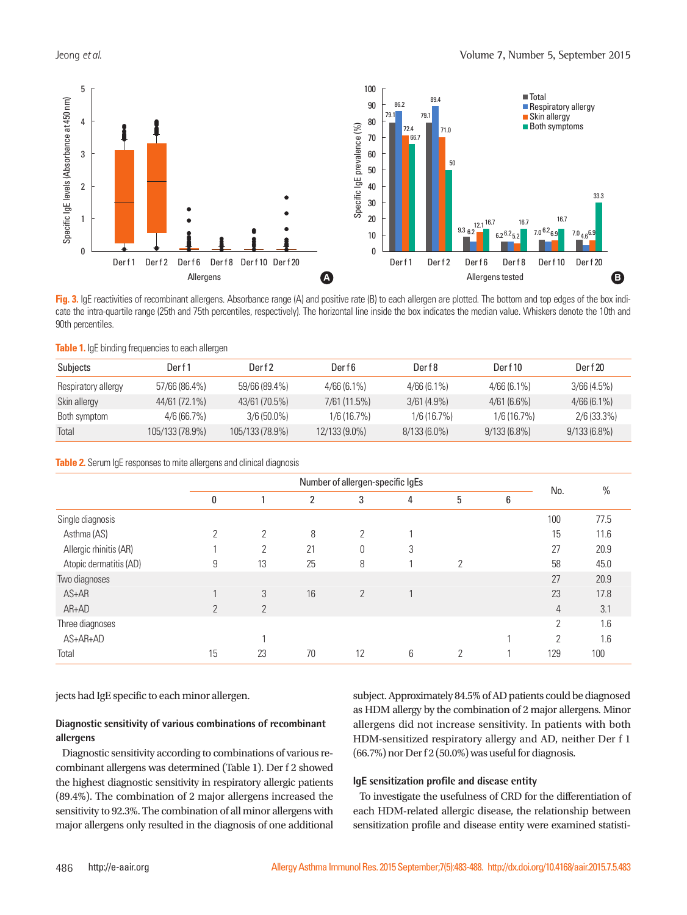

**Fig. 3.** IgE reactivities of recombinant allergens. Absorbance range (A) and positive rate (B) to each allergen are plotted. The bottom and top edges of the box indicate the intra-quartile range (25th and 75th percentiles, respectively). The horizontal line inside the box indicates the median value. Whiskers denote the 10th and

|  | Table 1. IgE binding frequencies to each allergen |  |  |  |
|--|---------------------------------------------------|--|--|--|
|  |                                                   |  |  |  |

| Subjects            | Der f 1         | Der f 2         | Der f 6       | Derf8          | Derf10         | Der f 20       |
|---------------------|-----------------|-----------------|---------------|----------------|----------------|----------------|
| Respiratory allergy | 57/66 (86.4%)   | 59/66 (89.4%)   | $4/66(6.1\%)$ | $4/66(6.1\%)$  | $4/66(6.1\%)$  | 3/66(4.5%)     |
| Skin allergy        | 44/61 (72.1%)   | 43/61 (70.5%)   | 7/61(11.5%)   | $3/61(4.9\%)$  | 4/61(6.6%)     | $4/66(6.1\%)$  |
| Both symptom        | 4/6(66.7%)      | $3/6(50.0\%)$   | $1/6(16.7\%)$ | 1/6(16.7%)     | 1/6 (16.7%)    | $2/6(33.3\%)$  |
| Total               | 105/133 (78.9%) | 105/133 (78.9%) | 12/133 (9.0%) | $8/133(6.0\%)$ | $9/133(6.8\%)$ | $9/133(6.8\%)$ |

**Table 2.** Serum IqE responses to mite allergens and clinical diagnosis

|                        | Number of allergen-specific IgEs |                |    |                |   |   |   |     |      |
|------------------------|----------------------------------|----------------|----|----------------|---|---|---|-----|------|
|                        | 0                                |                | 2  | 3              | 4 | 5 | 6 | No. | $\%$ |
| Single diagnosis       |                                  |                |    |                |   |   |   | 100 | 77.5 |
| Asthma (AS)            | 2                                | 2              | 8  | 2              |   |   |   | 15  | 11.6 |
| Allergic rhinitis (AR) |                                  | 2              | 21 | $\theta$       | 3 |   |   | 27  | 20.9 |
| Atopic dermatitis (AD) | 9                                | 13             | 25 | 8              |   | 2 |   | 58  | 45.0 |
| Two diagnoses          |                                  |                |    |                |   |   |   | 27  | 20.9 |
| AS+AR                  | $\overline{A}$                   | 3              | 16 | $\overline{2}$ |   |   |   | 23  | 17.8 |
| $AR+AD$                | $\overline{2}$                   | $\overline{2}$ |    |                |   |   |   | 4   | 3.1  |
| Three diagnoses        |                                  |                |    |                |   |   |   | 2   | 1.6  |
| AS+AR+AD               |                                  |                |    |                |   |   |   | C   | 1.6  |
| Total                  | 15                               | 23             | 70 | 12             | 6 | C |   | 129 | 100  |

jects had IgE specific to each minor allergen.

# **Diagnostic sensitivity of various combinations of recombinant allergens**

Diagnostic sensitivity according to combinations of various recombinant allergens was determined (Table 1). Der f 2 showed the highest diagnostic sensitivity in respiratory allergic patients (89.4%). The combination of 2 major allergens increased the sensitivity to 92.3%. The combination of all minor allergens with major allergens only resulted in the diagnosis of one additional subject. Approximately 84.5% of AD patients could be diagnosed as HDM allergy by the combination of 2 major allergens. Minor allergens did not increase sensitivity. In patients with both HDM-sensitized respiratory allergy and AD, neither Der f 1 (66.7%) nor Der f 2 (50.0%) was useful for diagnosis.

#### **IgE sensitization profile and disease entity**

To investigate the usefulness of CRD for the differentiation of each HDM-related allergic disease, the relationship between sensitization profile and disease entity were examined statisti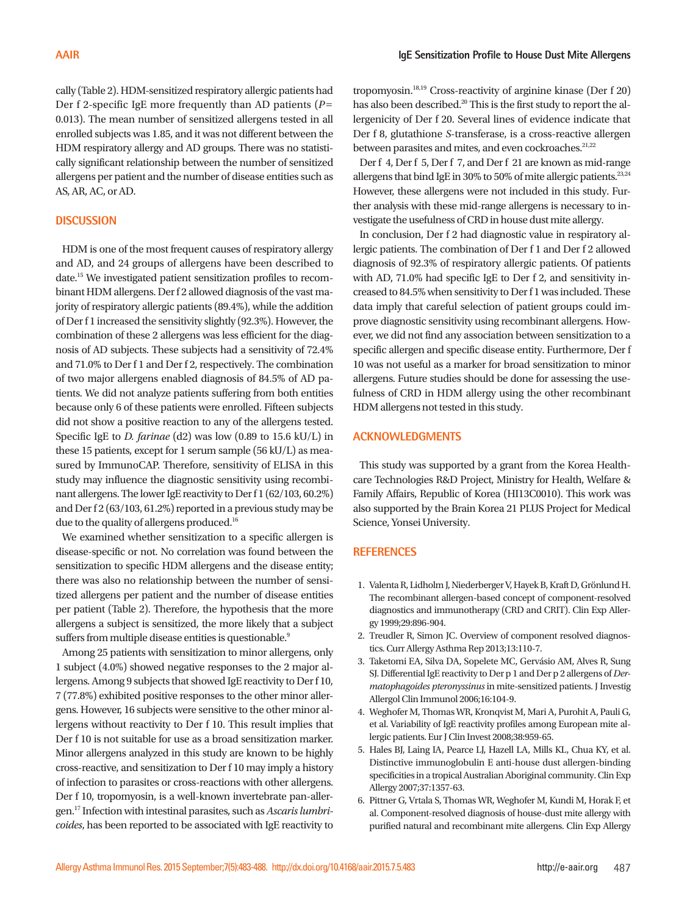cally (Table 2). HDM-sensitized respiratory allergic patients had Der f 2-specific IgE more frequently than AD patients (*P*= 0.013). The mean number of sensitized allergens tested in all enrolled subjects was 1.85, and it was not different between the HDM respiratory allergy and AD groups. There was no statistically significant relationship between the number of sensitized allergens per patient and the number of disease entities such as AS, AR, AC, or AD.

# **DISCUSSION**

HDM is one of the most frequent causes of respiratory allergy and AD, and 24 groups of allergens have been described to date.15 We investigated patient sensitization profiles to recombinant HDM allergens. Der f 2 allowed diagnosis of the vast majority of respiratory allergic patients (89.4%), while the addition of Der f 1 increased the sensitivity slightly (92.3%). However, the combination of these 2 allergens was less efficient for the diagnosis of AD subjects. These subjects had a sensitivity of 72.4% and 71.0% to Der f 1 and Der f 2, respectively. The combination of two major allergens enabled diagnosis of 84.5% of AD patients. We did not analyze patients suffering from both entities because only 6 of these patients were enrolled. Fifteen subjects did not show a positive reaction to any of the allergens tested. Specific IgE to *D. farinae* (d2) was low (0.89 to 15.6 kU/L) in these 15 patients, except for 1 serum sample (56 kU/L) as measured by ImmunoCAP. Therefore, sensitivity of ELISA in this study may influence the diagnostic sensitivity using recombinant allergens. The lower IgE reactivity to Der f 1 (62/103, 60.2%) and Der f 2 (63/103, 61.2%) reported in a previous study may be due to the quality of allergens produced.<sup>16</sup>

We examined whether sensitization to a specific allergen is disease-specific or not. No correlation was found between the sensitization to specific HDM allergens and the disease entity; there was also no relationship between the number of sensitized allergens per patient and the number of disease entities per patient (Table 2). Therefore, the hypothesis that the more allergens a subject is sensitized, the more likely that a subject suffers from multiple disease entities is questionable.<sup>9</sup>

Among 25 patients with sensitization to minor allergens, only 1 subject (4.0%) showed negative responses to the 2 major allergens. Among 9 subjects that showed IgE reactivity to Der f 10, 7 (77.8%) exhibited positive responses to the other minor allergens. However, 16 subjects were sensitive to the other minor allergens without reactivity to Der f 10. This result implies that Der f 10 is not suitable for use as a broad sensitization marker. Minor allergens analyzed in this study are known to be highly cross-reactive, and sensitization to Der f 10 may imply a history of infection to parasites or cross-reactions with other allergens. Der f 10, tropomyosin, is a well-known invertebrate pan-allergen.17 Infection with intestinal parasites, such as *Ascaris lumbricoides*, has been reported to be associated with IgE reactivity to

tropomyosin.18,19 Cross-reactivity of arginine kinase (Der f 20) has also been described.<sup>20</sup> This is the first study to report the allergenicity of Der f 20. Several lines of evidence indicate that Der f 8, glutathione *S*-transferase, is a cross-reactive allergen between parasites and mites, and even cockroaches.<sup>21,22</sup>

Der f 4, Der f 5, Der f 7, and Der f 21 are known as mid-range allergens that bind IgE in 30% to 50% of mite allergic patients.  $23,24$ However, these allergens were not included in this study. Further analysis with these mid-range allergens is necessary to investigate the usefulness of CRD in house dust mite allergy.

In conclusion, Der f 2 had diagnostic value in respiratory allergic patients. The combination of Der f 1 and Der f 2 allowed diagnosis of 92.3% of respiratory allergic patients. Of patients with AD, 71.0% had specific IgE to Der f 2, and sensitivity increased to 84.5% when sensitivity to Der f 1 was included. These data imply that careful selection of patient groups could improve diagnostic sensitivity using recombinant allergens. However, we did not find any association between sensitization to a specific allergen and specific disease entity. Furthermore, Der f 10 was not useful as a marker for broad sensitization to minor allergens. Future studies should be done for assessing the usefulness of CRD in HDM allergy using the other recombinant HDM allergens not tested in this study.

## **ACKNOWLEDGMENTS**

This study was supported by a grant from the Korea Healthcare Technologies R&D Project, Ministry for Health, Welfare & Family Affairs, Republic of Korea (HI13C0010). This work was also supported by the Brain Korea 21 PLUS Project for Medical Science, Yonsei University.

## **REFERENCES**

- 1. Valenta R, Lidholm J, Niederberger V, Hayek B, Kraft D, Grönlund H. The recombinant allergen-based concept of component-resolved diagnostics and immunotherapy (CRD and CRIT). Clin Exp Allergy 1999;29:896-904.
- 2. Treudler R, Simon JC. Overview of component resolved diagnostics. Curr Allergy Asthma Rep 2013;13:110-7.
- 3. Taketomi EA, Silva DA, Sopelete MC, Gervásio AM, Alves R, Sung SJ. Differential IgE reactivity to Der p 1 and Der p 2 allergens of *Dermatophagoides pteronyssinus* in mite-sensitized patients. J Investig Allergol Clin Immunol 2006;16:104-9.
- 4. Weghofer M, Thomas WR, Kronqvist M, Mari A, Purohit A, Pauli G, et al. Variability of IgE reactivity profiles among European mite allergic patients. Eur J Clin Invest 2008;38:959-65.
- 5. Hales BJ, Laing IA, Pearce LJ, Hazell LA, Mills KL, Chua KY, et al. Distinctive immunoglobulin E anti-house dust allergen-binding specificities in a tropical Australian Aboriginal community. Clin Exp Allergy 2007;37:1357-63.
- 6. Pittner G, Vrtala S, Thomas WR, Weghofer M, Kundi M, Horak F, et al. Component-resolved diagnosis of house-dust mite allergy with purified natural and recombinant mite allergens. Clin Exp Allergy